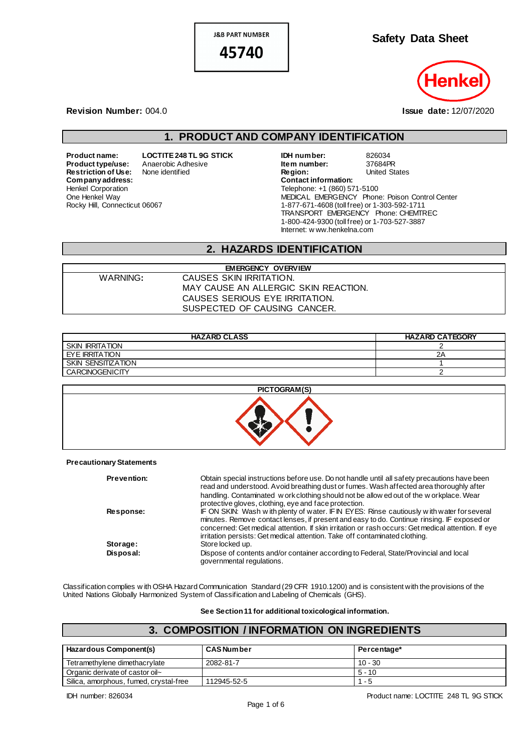**J&B PART NUMBER** 

45740

**Safety Data Sheet**



#### **Revision Number:** 004.0 **Issue date:** 12/07/2020

## **1. PRODUCT AND COMPANY IDENTIFICATION**

**Restriction of Use:**<br>Company address: Henkel Corporation One Henkel Way Rocky Hill, Connecticut 06067

**Product name: LOCTITE 248 TL 9G STICK IDH number:** 826034<br> **Product type/use:** Anaerobic Adhesive **Item number:** 37684PR **Product type/use:** Anaerobic Adhesive **Integral is the Mumber:** 37684PR **Restriction of Use:** None identified **Integral is a Communisty Communisty Communisty Communisty Region:** United States **Company address: Contact information:** Telephone: +1 (860) 571-5100 MEDICAL EMERGENCY Phone: Poison Control Center 1-877-671-4608 (toll free) or 1-303-592-1711 TRANSPORT EMERGENCY Phone: CHEMTREC 1-800-424-9300 (toll free) or 1-703-527-3887 Internet: w ww.henkelna.com

#### **2. HAZARDS IDENTIFICATION**

| <b>EMERGENCY OVERVIEW</b> |                                      |  |
|---------------------------|--------------------------------------|--|
| WARNING:                  | CAUSES SKIN IRRITATION.              |  |
|                           | MAY CAUSE AN ALLERGIC SKIN REACTION. |  |
|                           | CAUSES SERIOUS EYE IRRITATION.       |  |
|                           | SUSPECTED OF CAUSING CANCER.         |  |
|                           |                                      |  |

| <b>HAZARD CLASS</b>    | <b>HAZARD CATEGORY</b> |
|------------------------|------------------------|
| <b>SKIN IRRITATION</b> |                        |
| I EYE IRRITATION       | 2Α                     |
| SKIN SENSITIZATION     |                        |
| <b>CARCINOGENICITY</b> |                        |



#### **Precautionary Statements**

| <b>Prevention:</b> | Obtain special instructions before use. Do not handle until all safety precautions have been<br>read and understood. Avoid breathing dust or fumes. Wash affected area thoroughly after<br>handling. Contaminated work clothing should not be allow ed out of the workplace. Wear<br>protective gloves, clothing, eye and face protection.                                    |
|--------------------|-------------------------------------------------------------------------------------------------------------------------------------------------------------------------------------------------------------------------------------------------------------------------------------------------------------------------------------------------------------------------------|
| <b>Response:</b>   | IF ON SKIN: Wash with plenty of water. IF IN EYES: Rinse cautiously with water for several<br>minutes. Remove contact lenses, if present and easy to do. Continue rinsing. IF exposed or<br>concerned: Get medical attention. If skin irritation or rash occurs: Get medical attention. If eye<br>irritation persists: Get medical attention. Take off contaminated clothing. |
| Storage:           | Store locked up.                                                                                                                                                                                                                                                                                                                                                              |
| Disposal:          | Dispose of contents and/or container according to Federal, State/Provincial and local<br>governmental regulations.                                                                                                                                                                                                                                                            |

Classification complies w ith OSHA Hazard Communication Standard (29 CFR 1910.1200) and is consistent with the provisions of the United Nations Globally Harmonized System of Classification and Labeling of Chemicals (GHS).

#### **See Section 11 for additional toxicological information.**

### **3. COMPOSITION / INFORMATION ON INGREDIENTS**

| Hazardous Component(s)                 | <b>CAS Number</b> | Percentage* |
|----------------------------------------|-------------------|-------------|
| Tetramethylene dimethacrylate          | 2082-81-7         | $10 - 30$   |
| Organic derivate of castor oil-        |                   | $5 - 10$    |
| Silica, amorphous, fumed, crystal-free | 112945-52-5       | - 5         |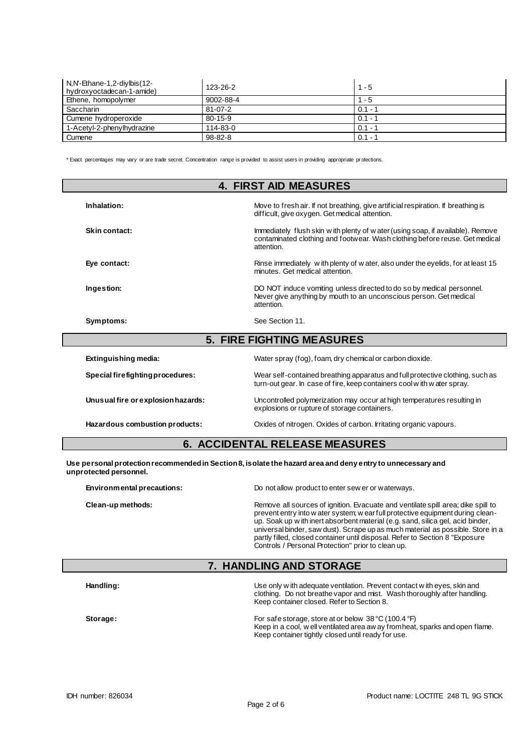| N,N'-Ethane-1,2-divlbis(12-<br>hydroxyoctadecan-1-amide) | 123-26-2       | $1 - 5$   |
|----------------------------------------------------------|----------------|-----------|
| Ethene, homopolymer                                      | 9002-88-4      | $1 - 5$   |
| Saccharin                                                | $81 - 07 - 2$  | $0.1 - 1$ |
| Cumene hydroperoxide                                     | 80-15-9        | $0.1 - 1$ |
| 1-Acetyl-2-phenylhydrazine                               | $114 - 83 - 0$ | $0.1 - 1$ |
| Cumene                                                   | $98 - 82 - 8$  | $0.1 - 1$ |

\* Exact percentages may vary or are trade secret. Concentration range is provided to assist users in providing appropriate pr otections.

| <b>4. FIRST AID MEASURES</b>       |                                                                                                                                                                               |  |
|------------------------------------|-------------------------------------------------------------------------------------------------------------------------------------------------------------------------------|--|
| Inhalation:                        | Move to fresh air. If not breathing, give artificial respiration. If breathing is<br>difficult, give oxygen. Get medical attention.                                           |  |
| Skin contact:                      | Immediately flush skin w ith plenty of w ater (using soap, if available). Remove<br>contaminated clothing and footwear. Wash clothing before reuse. Get medical<br>attention. |  |
| Eye contact:                       | Rinse immediately with plenty of water, also under the eyelids, for at least 15<br>minutes. Get medical attention.                                                            |  |
| Ingestion:                         | DO NOT induce vomiting unless directed to do so by medical personnel.<br>Never give anything by mouth to an unconscious person. Get medical<br>attention.                     |  |
| Symptoms:                          | See Section 11.                                                                                                                                                               |  |
|                                    | <b>5. FIRE FIGHTING MEASURES</b>                                                                                                                                              |  |
| Extinguishing media:               | Water spray (fog), foam, dry chemical or carbon dioxide.                                                                                                                      |  |
| Special firefighting procedures:   | Wear self-contained breathing apparatus and full protective clothing, such as<br>turn-out gear. In case of fire, keep containers cool with water spray.                       |  |
| Unusual fire or explosion hazards: | Uncontrolled polymerization may occur at high temperatures resulting in<br>explosions or rupture of storage containers.                                                       |  |
| Hazardous combustion products:     | Oxides of nitrogen. Oxides of carbon. Irritating organic vapours.                                                                                                             |  |

# **6. ACCIDENTAL RELEASE MEASURES**

**Use personal protection recommended in Section 8, isolate the hazard area and deny entry to unnecessary and unprotected personnel.**

| Environmental precautions: | Do not allow product to enter sew er or waterways.                                                                                                                                                                                                                                                                                                                                                                                                                              |  |
|----------------------------|---------------------------------------------------------------------------------------------------------------------------------------------------------------------------------------------------------------------------------------------------------------------------------------------------------------------------------------------------------------------------------------------------------------------------------------------------------------------------------|--|
| Clean-up methods:          | Remove all sources of ignition. Evacuate and ventilate spill area; dike spill to<br>prevent entry into w ater system; w earfull protective equipment during clean-<br>up. Soak up w ith inert absorbent material (e.g. sand, silica gel, acid binder,<br>universal binder, saw dust). Scrape up as much material as possible. Store in a<br>partly filled, closed container until disposal. Refer to Section 8 "Exposure"<br>Controls / Personal Protection" prior to clean up. |  |

# **7. HANDLING AND STORAGE**

| Handling: | Use only w ith adequate ventilation. Prevent contact w ith eyes, skin and<br>clothing. Do not breathe vapor and mist. Wash thoroughly after handling.<br>Keep container closed. Refer to Section 8.           |
|-----------|---------------------------------------------------------------------------------------------------------------------------------------------------------------------------------------------------------------|
| Storage:  | For safe storage, store at or below 38 $\degree$ C (100.4 $\degree$ F)<br>Keep in a cool, w ell ventilated area aw ay from heat, sparks and open flame.<br>Keep container tightly closed until ready for use. |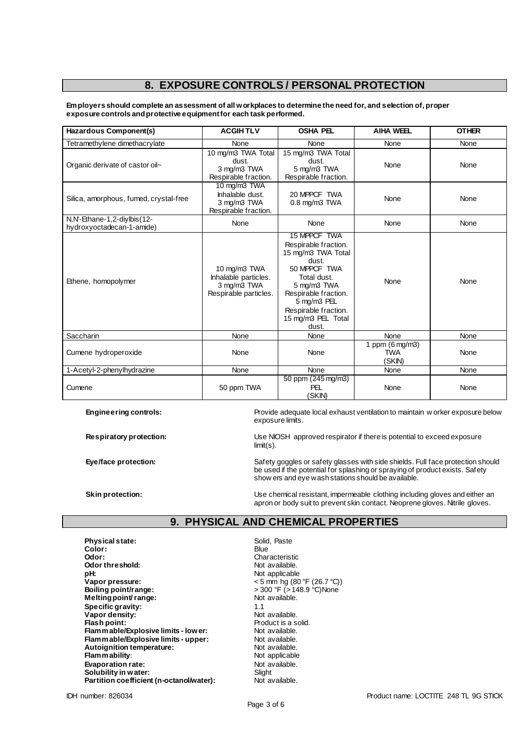# **8. EXPOSURE CONTROLS / PERSONAL PROTECTION**

**Employers should complete an assessment of all workplaces to determine the need for, and selection of, proper exposure controls and protective equipment for each task performed.**

| Hazardous Component(s)                                   | <b>ACGIHTLV</b>                                                              | <b>OSHA PEL</b>                                                                                                                                                                                                 | <b>AIHA WEEL</b>                                    | <b>OTHER</b> |
|----------------------------------------------------------|------------------------------------------------------------------------------|-----------------------------------------------------------------------------------------------------------------------------------------------------------------------------------------------------------------|-----------------------------------------------------|--------------|
| Tetramethylene dimethacrylate                            | None                                                                         | None                                                                                                                                                                                                            | None                                                | None         |
| Organic derivate of castor oil~                          | 10 mg/m3 TWA Total<br>dust.<br>3 mg/m3 TWA<br>Respirable fraction.           | 15 mg/m3 TWA Total<br>dust.<br>5 mg/m3 TWA<br>Respirable fraction.                                                                                                                                              | None                                                | None         |
| Silica, amorphous, fumed, crystal-free                   | 10 mg/m3 TWA<br>Inhalable dust.<br>3 mg/m3 TWA<br>Respirable fraction.       | 20 MPPCF TWA<br>$0.8$ mg/m $3$ TWA                                                                                                                                                                              | None                                                | None         |
| N,N'-Ethane-1,2-diylbis(12-<br>hydroxyoctadecan-1-amide) | None                                                                         | None                                                                                                                                                                                                            | None                                                | None         |
| Ethene, homopolymer                                      | 10 mg/m3 TWA<br>Inhalable particles.<br>3 mg/m3 TWA<br>Respirable particles. | 15 MPPCF TWA<br>Respirable fraction.<br>15 mg/m3 TWA Total<br>dust.<br>50 MPPCF TWA<br>Total dust.<br>5 mg/m3 TWA<br>Respirable fraction.<br>5 mg/m3 PEL<br>Respirable fraction.<br>15 mg/m3 PEL Total<br>dust. | None                                                | None         |
| Saccharin                                                | None                                                                         | None                                                                                                                                                                                                            | None                                                | None         |
| Cumene hydroperoxide                                     | None                                                                         | None                                                                                                                                                                                                            | $\frac{1}{1}$ ppm (6 mg/m3)<br><b>TWA</b><br>(SKIN) | None         |
| 1-Acetyl-2-phenylhydrazine                               | None                                                                         | None                                                                                                                                                                                                            | None                                                | None         |
| Cumene                                                   | 50 ppm TWA                                                                   | 50 ppm (245 mg/m3)<br>PEL<br>(SKIN)                                                                                                                                                                             | None                                                | None         |

**Engineering controls:** Provide adequate local exhaust ventilation to maintain w orker exposure below exposure limits.

**Respiratory protection:** Use NIOSH approved respirator if there is potential to exceed exposure limit(s).

Eye/face protection: Safety goggles or safety glasses with side shields. Full face protection should be used if the potential for splashing or spraying of product exists. Safety show ers and eye wash stations should be available.

**Skin protection:** Use chemical resistant, impermeable clothing including gloves and either an apron or body suit to prevent skin contact. Neoprene gloves. Nitrile gloves.

## **9. PHYSICAL AND CHEMICAL PROPERTIES**

**Physical state:** Solid, Paste Color: Solid, Paste Color: Solid, Paste Color: Solid, Paste Color: Solid, Paste Color: Solid, Paste Color: Solid, Paste Color: Solid, Paste Color: Solid, Paste Color: Solid, Paste Color: Soli Color:<br>Odor: **Odor threshold:**<br>pH: **pH:**<br> **Vapor pressure:**<br>
Vapor pressure:<br>  $\frac{1}{2}$  A and  $\frac{1}{2}$  A and  $\frac{1}{2}$  A and  $\frac{1}{2}$  A and  $\frac{1}{2}$  A and  $\frac{1}{2}$  A and  $\frac{1}{2}$  A and  $\frac{1}{2}$  A and  $\frac{1}{2}$  A and  $\frac{1}{2}$  A and  $\frac{1}{2}$  A and  $\frac$ **Vapor pressure:**  $\leftarrow$  5 mm hg (80 °F (26.7 °C))<br> **Boiling point/range:**  $\leftarrow$  5 00 °F (> 148.9 °C)None **Melting point/ range: Specific gravity:**  $\begin{array}{ccc} 1.1 & 1.1 \\ \hline \end{array}$  **Specific gravity:**  $\begin{array}{ccc} 1.1 & 1.1 \\ \hline \end{array}$  Not available. **Vapor density:** Not available.<br> **Flash point:** Product is a solid. **Flash point: Product is a state in the Select Product** is a solution of the select of the **Froduct** is a solution of **France in the Select Select** Product is a solution of **France I Flammable/Explosive limits - lower:** Not available.<br> **Flammable/Explosive limits - upper:** Not available. **Flammable/Explosive limits - upper:** Not available.<br> **Autoignition temperature:** Not available. Autoignition temperature:<br>Flam mability: **Evaporation rate:** Not available. Not available to the Not available.<br>**Solubility in water:** Not available. Not available. **Solubility in water:** Solubility in water:<br> **Solubility in water:** (n-octanol/water): Not available. Partition coefficient (n-octanol/water):

Characteristic<br>Not available. **Boiling Point Point Property**<br>Not available. Not applicable<br>Not available.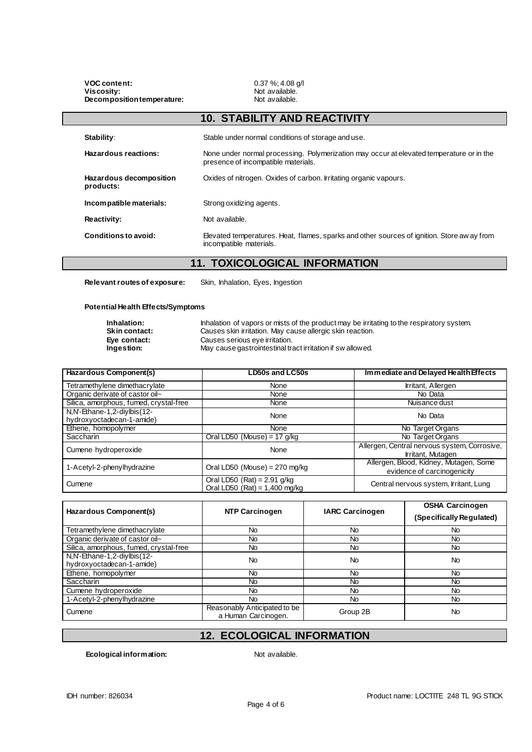**VOC content:** 0.37 %; 4.08 g/l **Viscosity:** Not available. Decomposition temperature: Not available.

|                                      | <b>10. STABILITY AND REACTIVITY</b>                                                                                             |
|--------------------------------------|---------------------------------------------------------------------------------------------------------------------------------|
| Stability:                           | Stable under normal conditions of storage and use.                                                                              |
| Hazardous reactions:                 | None under normal processing. Polymerization may occur at elevated temperature or in the<br>presence of incompatible materials. |
| Hazardous decomposition<br>products: | Oxides of nitrogen. Oxides of carbon. Irritating organic vapours.                                                               |
| Incompatible materials:              | Strong oxidizing agents.                                                                                                        |
| Reactivity:                          | Not available.                                                                                                                  |
| Conditions to avoid:                 | Elevated temperatures. Heat, flames, sparks and other sources of ignition. Store aw ay from<br>incompatible materials.          |

### **11. TOXICOLOGICAL INFORMATION**

**Relevant routes of exposure:** Skin, Inhalation, Eyes, Ingestion

#### **Potential Health Effects/Symptoms**

**Inhalation:** Inhalation of vapors or mists of the product may be irritating to the respiratory system.<br>
Skin contact: Causes skin irritation. May cause allergic skin reaction. **Skin contact:** Causes skin irritation. May cause allergic skin reaction.<br> **Eye contact:** Causes serious eye irritation. **Eye contact:** Causes serious eye irritation. **Ingestion:** May cause gastrointestinal tract irritation if sw allowed.

| <b>Hazardous Component(s)</b>                            | LD50s and LC50s                                                  | Immediate and Delayed Health Effects                                  |
|----------------------------------------------------------|------------------------------------------------------------------|-----------------------------------------------------------------------|
| Tetramethylene dimethacrylate                            | None                                                             | Irritant, Allergen                                                    |
| Organic derivate of castor oil~                          | None                                                             | No Data                                                               |
| Silica, amorphous, fumed, crystal-free                   | None                                                             | Nuisance dust                                                         |
| N,N'-Ethane-1,2-diylbis(12-<br>hydroxyoctadecan-1-amide) | None                                                             | No Data                                                               |
| Ethene, homopolymer                                      | None                                                             | No Target Organs                                                      |
| Saccharin                                                | Oral LD50 (Mouse) = $17$ g/kg                                    | No Target Organs                                                      |
| Cumene hydroperoxide                                     | None                                                             | Allergen, Central nervous system, Corrosive,<br>Irritant, Mutagen     |
| 1-Acetyl-2-phenylhydrazine                               | Oral LD50 (Mouse) = $270$ mg/kg                                  | Allergen, Blood, Kidney, Mutagen, Some<br>evidence of carcinogenicity |
| Cumene                                                   | Oral LD50 (Rat) = $2.91$ g/kg<br>Oral LD50 (Rat) = $1,400$ mg/kg | Central nervous system, Irritant, Lung                                |

|                                                          |                                                     |                        | <b>OSHA Carcinogen</b>   |
|----------------------------------------------------------|-----------------------------------------------------|------------------------|--------------------------|
| Hazardous Component(s)                                   | <b>NTP Carcinogen</b>                               | <b>IARC Carcinogen</b> | (Specifically Regulated) |
| Tetramethylene dimethacrylate                            | No                                                  | No.                    | No                       |
| Organic derivate of castor oil~                          | No                                                  | <b>No</b>              | No.                      |
| Silica, amorphous, fumed, crystal-free                   | No                                                  | No                     | No                       |
| N,N'-Ethane-1,2-diylbis(12-<br>hydroxyoctadecan-1-amide) | <b>No</b>                                           | <b>No</b>              | No                       |
| Ethene, homopolymer                                      | <b>No</b>                                           | <b>No</b>              | No.                      |
| <b>Saccharin</b>                                         | No                                                  | <b>No</b>              | No.                      |
| Cumene hydroperoxide                                     | No                                                  | <b>No</b>              | No.                      |
| 1-Acetyl-2-phenylhydrazine                               | No.                                                 | No                     | No                       |
| Cumene                                                   | Reasonably Anticipated to be<br>a Human Carcinogen. | Group 2B               | No                       |

#### **12. ECOLOGICAL INFORMATION**

**Ecological information:** Not available.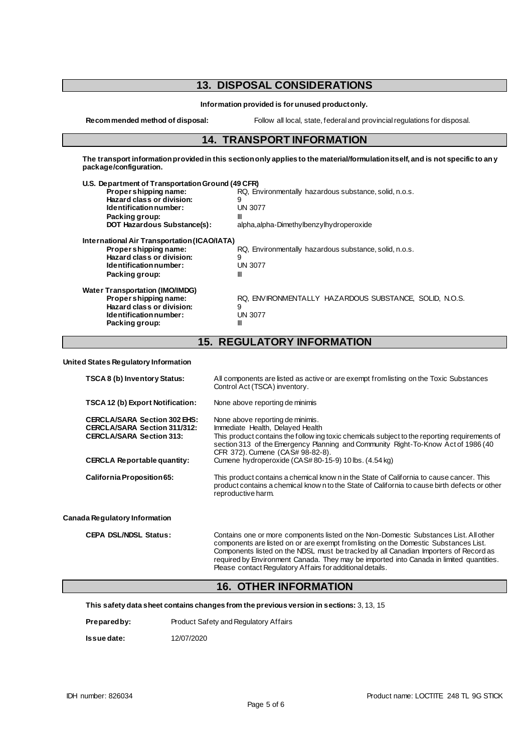# **13. DISPOSAL CONSIDERATIONS**

**Information provided is for unused product only.**

**Recommended method of disposal:** Follow all local, state, federal and provincial regulations for disposal.

#### **14. TRANSPORT INFORMATION**

**The transport information provided in this section only applies to the material/formulation itself, and is not specific to any package/configuration.**

| U.S. Department of Transportation Ground (49 CFR)                                                                                              |                                                                                    |
|------------------------------------------------------------------------------------------------------------------------------------------------|------------------------------------------------------------------------------------|
| Propershipping name:                                                                                                                           | RQ, Environmentally hazardous substance, solid, n.o.s.                             |
| Hazard class or division:                                                                                                                      | 9                                                                                  |
| Identification number:                                                                                                                         | UN 3077                                                                            |
| Packing group:                                                                                                                                 | Ш                                                                                  |
| <b>DOT Hazardous Substance(s):</b>                                                                                                             | alpha, alpha-Dimethylbenzylhydroperoxide                                           |
| International Air Transportation (ICAO/IATA)<br>Proper shipping name:<br>Hazard class or division:<br>Identification number:<br>Packing group: | RQ, Environmentally hazardous substance, solid, n.o.s.<br>9<br><b>UN 3077</b><br>Ш |
| Water Transportation (IMO/IMDG)<br>Propershipping name:<br>Hazard class or division:<br>Identification number:<br>Packing group:               | RQ. ENVIRONMENTALLY HAZARDOUS SUBSTANCE. SOLID. N.O.S.<br>9<br>UN 3077<br>Ш        |

# **15. REGULATORY INFORMATION**

**United States Regulatory Information**

| TSCA 8 (b) Inventory Status:                                                                                  | All components are listed as active or are exempt from listing on the Toxic Substances<br>Control Act (TSCA) inventory.                                                                                                                                                                        |
|---------------------------------------------------------------------------------------------------------------|------------------------------------------------------------------------------------------------------------------------------------------------------------------------------------------------------------------------------------------------------------------------------------------------|
| TSCA 12 (b) Export Notification:                                                                              | None above reporting de minimis                                                                                                                                                                                                                                                                |
| <b>CERCLA/SARA Section 302 EHS:</b><br><b>CERCLA/SARA Section 311/312:</b><br><b>CERCLA/SARA Section 313:</b> | None above reporting de minimis.<br>Immediate Health, Delayed Health<br>This product contains the follow ing toxic chemicals subject to the reporting requirements of<br>section 313 of the Emergency Planning and Community Right-To-Know Act of 1986 (40<br>CFR 372). Cumene (CAS# 98-82-8). |
| <b>CERCLA Reportable quantity:</b>                                                                            | Cumene hydroperoxide (CAS#80-15-9) 10 lbs. (4.54 kg)                                                                                                                                                                                                                                           |
| California Proposition 65:                                                                                    | This product contains a chemical know n in the State of California to cause cancer. This<br>product contains a chemical know n to the State of California to cause birth defects or other<br>reproductive harm.                                                                                |
| Canada Regulatory Information                                                                                 |                                                                                                                                                                                                                                                                                                |
| <b>CEPA DSL/NDSL Status:</b>                                                                                  | Contains one or more components listed on the Non-Domestic Substances List. All other<br>components are listed on or are exempt from listing on the Domestic Substances List.<br>Components listed on the NDSL must be tracked by all Canadian Importers of Record as                          |

#### **16. OTHER INFORMATION**

Please contact Regulatory Affairs for additional details.

required by Environment Canada. They may be imported into Canada in limited quantities.

**This safety data sheet contains changes from the previous version in sections:** 3, 13, 15

| Prepared by:<br>Product Safety and Regulatory Affairs |  |
|-------------------------------------------------------|--|
|-------------------------------------------------------|--|

**Issue date:** 12/07/2020